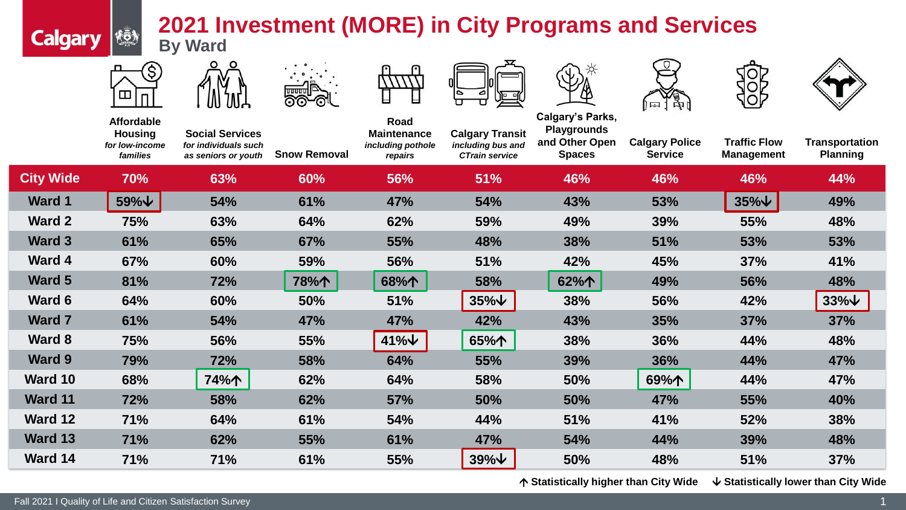## **2021 Investment (MORE) in City Programs and Services By Ward**

łō)

**Calgary** 

















|                  | <b>Affordable</b><br><b>Housing</b><br>for low-income<br>families | <b>Social Services</b><br>for individuals such<br>as seniors or youth | <b>Snow Removal</b> | Road<br><b>Maintenance</b><br>including pothole<br>repairs | <b>Calgary Transit</b><br>including bus and<br><b>CTrain service</b> | <b>Calgary's Parks,</b><br><b>Playgrounds</b><br>and Other Open<br><b>Spaces</b> | $\mathbf{v}$ $\mathbf{v}$<br><b>Calgary Police</b><br><b>Service</b> | <b>Traffic Flow</b><br><b>Management</b> | <b>Transportation</b><br><b>Planning</b> |
|------------------|-------------------------------------------------------------------|-----------------------------------------------------------------------|---------------------|------------------------------------------------------------|----------------------------------------------------------------------|----------------------------------------------------------------------------------|----------------------------------------------------------------------|------------------------------------------|------------------------------------------|
| <b>City Wide</b> | <b>70%</b>                                                        | 63%                                                                   | 60%                 | 56%                                                        | 51%                                                                  | 46%                                                                              | 46%                                                                  | 46%                                      | 44%                                      |
| <b>Ward 1</b>    | $59\%$ $\downarrow$                                               | 54%                                                                   | 61%                 | 47%                                                        | 54%                                                                  | 43%                                                                              | 53%                                                                  | $35\%$ $\forall$                         | 49%                                      |
| <b>Ward 2</b>    | 75%                                                               | 63%                                                                   | 64%                 | 62%                                                        | 59%                                                                  | 49%                                                                              | 39%                                                                  | 55%                                      | 48%                                      |
| <b>Ward 3</b>    | 61%                                                               | 65%                                                                   | 67%                 | 55%                                                        | 48%                                                                  | 38%                                                                              | 51%                                                                  | 53%                                      | 53%                                      |
| <b>Ward 4</b>    | 67%                                                               | 60%                                                                   | 59%                 | 56%                                                        | 51%                                                                  | 42%                                                                              | 45%                                                                  | 37%                                      | 41%                                      |
| Ward 5           | 81%                                                               | 72%                                                                   | 78%个                | 68%个                                                       | 58%                                                                  | 62%个                                                                             | 49%                                                                  | 56%                                      | 48%                                      |
| Ward 6           | 64%                                                               | 60%                                                                   | 50%                 | 51%                                                        | $35\%$ $\vee$                                                        | 38%                                                                              | 56%                                                                  | 42%                                      | $33\%$ $\vee$                            |
| <b>Ward 7</b>    | 61%                                                               | 54%                                                                   | 47%                 | 47%                                                        | 42%                                                                  | 43%                                                                              | 35%                                                                  | 37%                                      | <b>37%</b>                               |
| <b>Ward 8</b>    | 75%                                                               | 56%                                                                   | 55%                 | $41\%$ $\vee$                                              | 65%个                                                                 | 38%                                                                              | 36%                                                                  | 44%                                      | 48%                                      |
| <b>Ward 9</b>    | 79%                                                               | 72%                                                                   | 58%                 | 64%                                                        | 55%                                                                  | 39%                                                                              | 36%                                                                  | 44%                                      | 47%                                      |
| Ward 10          | 68%                                                               | 74%个                                                                  | 62%                 | 64%                                                        | 58%                                                                  | 50%                                                                              | 69%个                                                                 | 44%                                      | 47%                                      |
| <b>Ward 11</b>   | 72%                                                               | 58%                                                                   | 62%                 | 57%                                                        | 50%                                                                  | 50%                                                                              | 47%                                                                  | 55%                                      | 40%                                      |
| Ward 12          | 71%                                                               | 64%                                                                   | 61%                 | 54%                                                        | 44%                                                                  | 51%                                                                              | 41%                                                                  | 52%                                      | 38%                                      |
| Ward 13          | 71%                                                               | 62%                                                                   | 55%                 | 61%                                                        | 47%                                                                  | 54%                                                                              | 44%                                                                  | 39%                                      | 48%                                      |
|                  |                                                                   |                                                                       |                     |                                                            |                                                                      |                                                                                  |                                                                      |                                          |                                          |

**Ward 14 71% 71% 61% 55% 39% 50% 48% 51% 37%**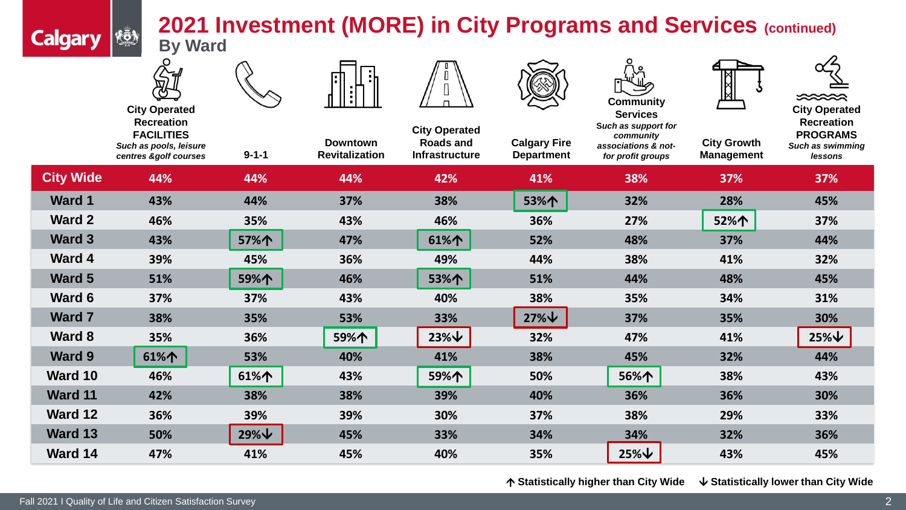## **2021 Investment (MORE) in City Programs and Services (continued)**

| KÖN | ZUZ I II       |
|-----|----------------|
|     | <b>By Ward</b> |
|     |                |

**Calgary** 

**City Operated Recreation FACILITIES** *Such as pools, leisure* 

| $9 - 1 - 1$ | <b>Downtown</b><br><b>Revitalization</b> | <b>City Operated</b><br><b>Roads and</b><br><b>Infrastructure</b> |  |  |
|-------------|------------------------------------------|-------------------------------------------------------------------|--|--|
| 44%         | 44%                                      | 42%                                                               |  |  |
| 44%         | 37%                                      | 38%                                                               |  |  |
| 35%         | 43%                                      | 46%                                                               |  |  |



**Calgary Fire** 





**Recreation PROGRAMS** *Such as swimming* 

|                  | uuun us pools, icisure<br>centres &golf courses | $9 - 1 - 1$   | <b>Revitalization</b> | Infrastructure    | <b>Department</b> | 83300780073 G 7700<br>for profit groups | <b>Management</b> | ouvn us swimming<br>lessons |
|------------------|-------------------------------------------------|---------------|-----------------------|-------------------|-------------------|-----------------------------------------|-------------------|-----------------------------|
| <b>City Wide</b> | 44%                                             | 44%           | 44%                   | 42%               | 41%               | 38%                                     | 37%               | 37%                         |
| <b>Ward 1</b>    | 43%                                             | 44%           | 37%                   | 38%               | 53%个              | 32%                                     | 28%               | 45%                         |
| Ward 2           | 46%                                             | 35%           | 43%                   | 46%               | 36%               | 27%                                     | 52%个              | 37%                         |
| Ward 3           | 43%                                             | 57%个          | 47%                   | 61%               | 52%               | 48%                                     | 37%               | 44%                         |
| Ward 4           | 39%                                             | 45%           | 36%                   | 49%               | 44%               | 38%                                     | 41%               | 32%                         |
| Ward 5           | 51%                                             | 59%个          | 46%                   | 53%个              | 51%               | 44%                                     | 48%               | 45%                         |
| Ward 6           | 37%                                             | 37%           | 43%                   | 40%               | 38%               | 35%                                     | 34%               | 31%                         |
| <b>Ward 7</b>    | 38%                                             | 35%           | 53%                   | 33%               | $27\%$ $\vee$     | 37%                                     | 35%               | 30%                         |
| Ward 8           | 35%                                             | 36%           | 59%个                  | $23\%$ $\sqrt{ }$ | 32%               | 47%                                     | 41%               | $25\%$ $\sqrt{ }$           |
| Ward 9           | 61%个                                            | 53%           | 40%                   | 41%               | 38%               | 45%                                     | 32%               | 44%                         |
| Ward 10          | 46%                                             | 61%个          | 43%                   | 59%个              | 50%               | 56%个                                    | 38%               | 43%                         |
| <b>Ward 11</b>   | 42%                                             | 38%           | 38%                   | 39%               | 40%               | 36%                                     | 36%               | 30%                         |
| <b>Ward 12</b>   | 36%                                             | 39%           | 39%                   | 30%               | 37%               | 38%                                     | 29%               | 33%                         |
| <b>Ward 13</b>   | 50%                                             | $29\%$ $\vee$ | 45%                   | 33%               | 34%               | 34%                                     | 32%               | 36%                         |
| Ward 14          | 47%                                             | 41%           | 45%                   | 40%               | 35%               | $25\% \n\vee$                           | 43%               | 45%                         |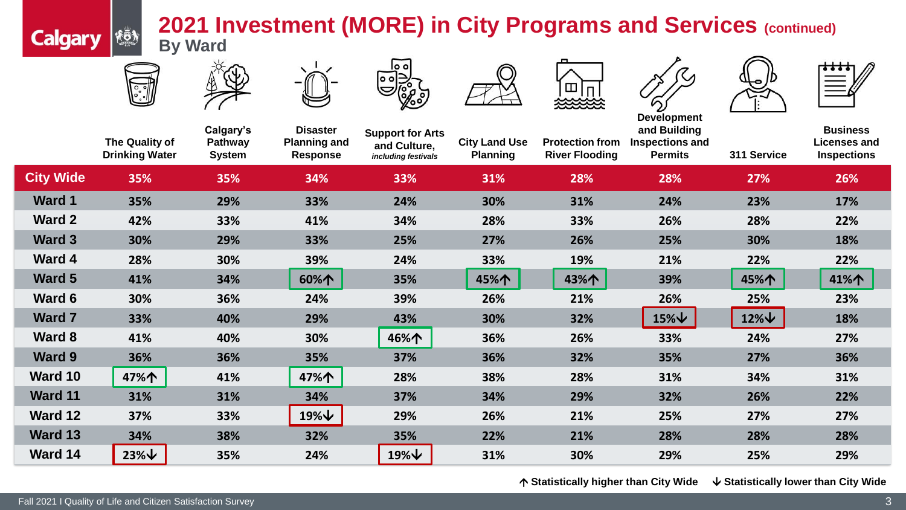## **2021 Investment (MORE) in City Programs and Services (continued) By Ward**



<u>rğy</u>

**Calgary** 















**City Wide 35% 35% 34% 33% 31% 28% 28% 27% 26% Ward 1 35% 29% 33% 24% 30% 31% 24% 23% 17% Ward 2 42% 33% 41% 34% 28% 33% 26% 28% 22% Ward 3 30% 29% 33% 25% 27% 26% 25% 30% 18% Ward 4 28% 30% 39% 24% 33% 19% 21% 22% 22% Ward 5 41% 34% 60% 35% 45% 43% 39% 45% 41% Ward 6 30% 36% 24% 39% 26% 21% 26% 25% 23% Ward 7 33% 40% 29% 43% 30% 32% 15% 12% 18% Ward 8 41% 40% 30% 46% 36% 26% 33% 24% 27% Ward 9 36% 36% 35% 37% 36% 32% 35% 27% 36% Ward 10 47% 41% 47% 28% 38% 28% 31% 34% 31% Ward 11 31% 31% 34% 37% 34% 29% 32% 26% 22% Ward 12 37% 33% 19% 29% 26% 21% 25% 27% 27% Ward 13 34% 38% 32% 35% 22% 21% 28% 28% 28% Ward 14 23% 35% 24% 19% 31% 30% 29% 25% 29% The Quality of Drinking Water Calgary's Pathway System Disaster Planning and Response Support for Arts and Culture,** *including festivals* **City Land Use Planning Protection from River Flooding and Building Inspections and Permits 311 Service Business Licenses and Inspections**